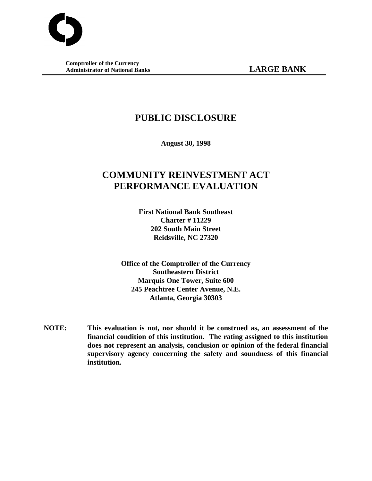**Comptroller of the Currency Administrator of National Banks LARGE BANK**

# **PUBLIC DISCLOSURE**

**August 30, 1998**

# **COMMUNITY REINVESTMENT ACT PERFORMANCE EVALUATION**

**First National Bank Southeast Charter # 11229 202 South Main Street Reidsville, NC 27320**

**Office of the Comptroller of the Currency Southeastern District Marquis One Tower, Suite 600 245 Peachtree Center Avenue, N.E. Atlanta, Georgia 30303**

**NOTE: This evaluation is not, nor should it be construed as, an assessment of the financial condition of this institution. The rating assigned to this institution does not represent an analysis, conclusion or opinion of the federal financial supervisory agency concerning the safety and soundness of this financial institution.**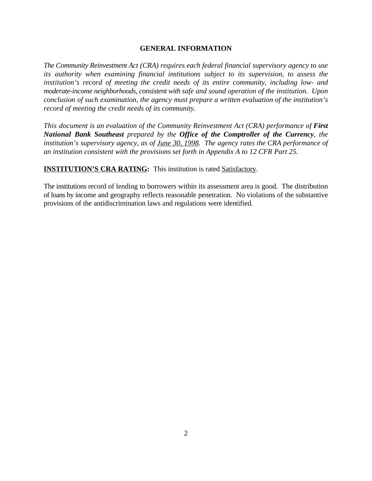#### **GENERAL INFORMATION**

*The Community Reinvestment Act (CRA) requires each federal financial supervisory agency to use its authority when examining financial institutions subject to its supervision, to assess the institution's record of meeting the credit needs of its entire community, including low- and moderate-income neighborhoods, consistent with safe and sound operation of the institution. Upon conclusion of such examination, the agency must prepare a written evaluation of the institution's record of meeting the credit needs of its community.*

*This document is an evaluation of the Community Reinvestment Act (CRA) performance of First National Bank Southeast prepared by the Office of the Comptroller of the Currency, the institution's supervisory agency, as of June 30, 1998. The agency rates the CRA performance of an institution consistent with the provisions set forth in Appendix A to 12 CFR Part 25.*

**INSTITUTION'S CRA RATING:** This institution is rated Satisfactory.

The institutions record of lending to borrowers within its assessment area is good. The distribution of loans by income and geography reflects reasonable penetration. No violations of the substantive provisions of the antidiscrimination laws and regulations were identified.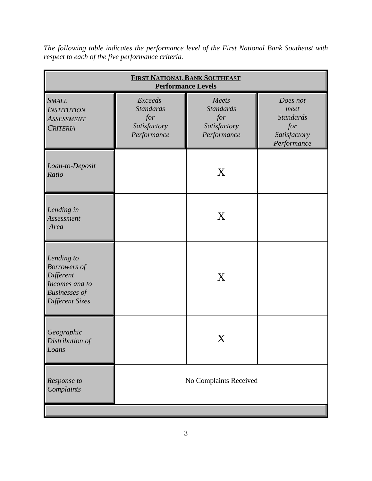| <b>FIRST NATIONAL BANK SOUTHEAST</b><br><b>Performance Levels</b>                                           |                                                                   |                                                                 |                                                                            |  |
|-------------------------------------------------------------------------------------------------------------|-------------------------------------------------------------------|-----------------------------------------------------------------|----------------------------------------------------------------------------|--|
| <b>SMALL</b><br><b>INSTITUTION</b><br><b>ASSESSMENT</b><br><b>CRITERIA</b>                                  | Exceeds<br><b>Standards</b><br>for<br>Satisfactory<br>Performance | Meets<br><b>Standards</b><br>for<br>Satisfactory<br>Performance | Does not<br>meet<br><b>Standards</b><br>for<br>Satisfactory<br>Performance |  |
| Loan-to-Deposit<br>Ratio                                                                                    |                                                                   | X                                                               |                                                                            |  |
| Lending in<br>Assessment<br>Area                                                                            |                                                                   | X                                                               |                                                                            |  |
| Lending to<br><b>Borrowers</b> of<br>Different<br>Incomes and to<br><b>Businesses</b> of<br>Different Sizes |                                                                   | X                                                               |                                                                            |  |
| Geographic<br>Distribution of<br>Loans                                                                      |                                                                   |                                                                 |                                                                            |  |
| Response to<br>Complaints                                                                                   |                                                                   | No Complaints Received                                          |                                                                            |  |

*The following table indicates the performance level of the First National Bank Southeast with respect to each of the five performance criteria.*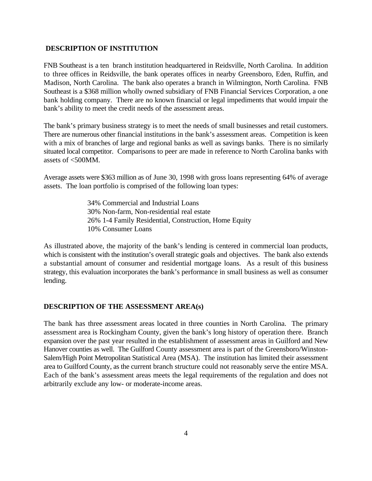#### **DESCRIPTION OF INSTITUTION**

FNB Southeast is a ten branch institution headquartered in Reidsville, North Carolina. In addition to three offices in Reidsville, the bank operates offices in nearby Greensboro, Eden, Ruffin, and Madison, North Carolina. The bank also operates a branch in Wilmington, North Carolina. FNB Southeast is a \$368 million wholly owned subsidiary of FNB Financial Services Corporation, a one bank holding company. There are no known financial or legal impediments that would impair the bank's ability to meet the credit needs of the assessment areas.

The bank's primary business strategy is to meet the needs of small businesses and retail customers. There are numerous other financial institutions in the bank's assessment areas. Competition is keen with a mix of branches of large and regional banks as well as savings banks. There is no similarly situated local competitor. Comparisons to peer are made in reference to North Carolina banks with assets of <500MM.

Average assets were \$363 million as of June 30, 1998 with gross loans representing 64% of average assets. The loan portfolio is comprised of the following loan types:

> 34% Commercial and Industrial Loans 30% Non-farm, Non-residential real estate 26% 1-4 Family Residential, Construction, Home Equity 10% Consumer Loans

As illustrated above, the majority of the bank's lending is centered in commercial loan products, which is consistent with the institution's overall strategic goals and objectives. The bank also extends a substantial amount of consumer and residential mortgage loans. As a result of this business strategy, this evaluation incorporates the bank's performance in small business as well as consumer lending.

#### **DESCRIPTION OF THE ASSESSMENT AREA(s)**

The bank has three assessment areas located in three counties in North Carolina. The primary assessment area is Rockingham County, given the bank's long history of operation there. Branch expansion over the past year resulted in the establishment of assessment areas in Guilford and New Hanover counties as well. The Guilford County assessment area is part of the Greensboro/Winston-Salem/High Point Metropolitan Statistical Area (MSA). The institution has limited their assessment area to Guilford County, as the current branch structure could not reasonably serve the entire MSA. Each of the bank's assessment areas meets the legal requirements of the regulation and does not arbitrarily exclude any low- or moderate-income areas.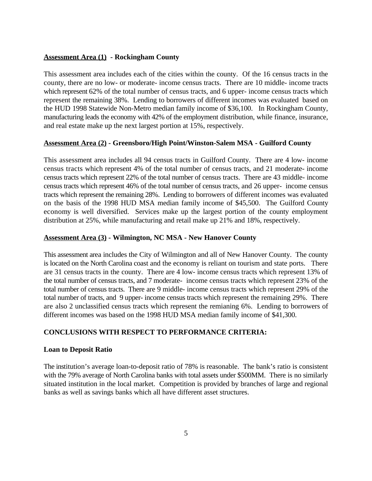# **Assessment Area (1) - Rockingham County**

This assessment area includes each of the cities within the county. Of the 16 census tracts in the county, there are no low- or moderate- income census tracts. There are 10 middle- income tracts which represent 62% of the total number of census tracts, and 6 upper- income census tracts which represent the remaining 38%. Lending to borrowers of different incomes was evaluated based on the HUD 1998 Statewide Non-Metro median family income of \$36,100. In Rockingham County, manufacturing leads the economy with 42% of the employment distribution, while finance, insurance, and real estate make up the next largest portion at 15%, respectively.

# **Assessment Area (2) - Greensboro/High Point/Winston-Salem MSA - Guilford County**

This assessment area includes all 94 census tracts in Guilford County. There are 4 low- income census tracts which represent 4% of the total number of census tracts, and 21 moderate- income census tracts which represent 22% of the total number of census tracts. There are 43 middle- income census tracts which represent 46% of the total number of census tracts, and 26 upper- income census tracts which represent the remaining 28%. Lending to borrowers of different incomes was evaluated on the basis of the 1998 HUD MSA median family income of \$45,500. The Guilford County economy is well diversified. Services make up the largest portion of the county employment distribution at 25%, while manufacturing and retail make up 21% and 18%, respectively.

# **Assessment Area (3) - Wilmington, NC MSA - New Hanover County**

This assessment area includes the City of Wilmington and all of New Hanover County. The county is located on the North Carolina coast and the economy is reliant on tourism and state ports. There are 31 census tracts in the county. There are 4 low- income census tracts which represent 13% of the total number of census tracts, and 7 moderate- income census tracts which represent 23% of the total number of census tracts. There are 9 middle- income census tracts which represent 29% of the total number of tracts, and 9 upper- income census tracts which represent the remaining 29%. There are also 2 unclassified census tracts which represent the remianing 6%. Lending to borrowers of different incomes was based on the 1998 HUD MSA median family income of \$41,300.

# **CONCLUSIONS WITH RESPECT TO PERFORMANCE CRITERIA:**

# **Loan to Deposit Ratio**

The institution's average loan-to-deposit ratio of 78% is reasonable. The bank's ratio is consistent with the 79% average of North Carolina banks with total assets under \$500MM. There is no similarly situated institution in the local market. Competition is provided by branches of large and regional banks as well as savings banks which all have different asset structures.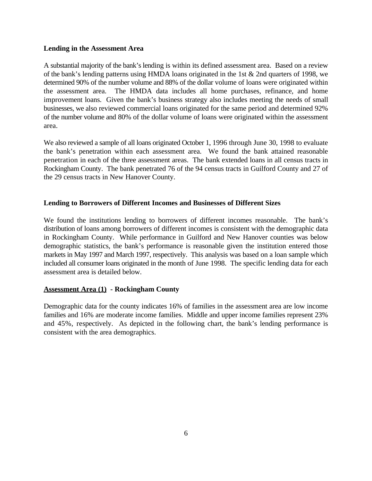#### **Lending in the Assessment Area**

A substantial majority of the bank's lending is within its defined assessment area. Based on a review of the bank's lending patterns using HMDA loans originated in the 1st & 2nd quarters of 1998, we determined 90% of the number volume and 88% of the dollar volume of loans were originated within the assessment area. The HMDA data includes all home purchases, refinance, and home improvement loans. Given the bank's business strategy also includes meeting the needs of small businesses, we also reviewed commercial loans originated for the same period and determined 92% of the number volume and 80% of the dollar volume of loans were originated within the assessment area.

We also reviewed a sample of all loans originated October 1, 1996 through June 30, 1998 to evaluate the bank's penetration within each assessment area. We found the bank attained reasonable penetration in each of the three assessment areas. The bank extended loans in all census tracts in Rockingham County. The bank penetrated 76 of the 94 census tracts in Guilford County and 27 of the 29 census tracts in New Hanover County.

# **Lending to Borrowers of Different Incomes and Businesses of Different Sizes**

We found the institutions lending to borrowers of different incomes reasonable. The bank's distribution of loans among borrowers of different incomes is consistent with the demographic data in Rockingham County. While performance in Guilford and New Hanover counties was below demographic statistics, the bank's performance is reasonable given the institution entered those markets in May 1997 and March 1997, respectively. This analysis was based on a loan sample which included all consumer loans originated in the month of June 1998. The specific lending data for each assessment area is detailed below.

# **Assessment Area (1) - Rockingham County**

Demographic data for the county indicates 16% of families in the assessment area are low income families and 16% are moderate income families. Middle and upper income families represent 23% and 45%, respectively. As depicted in the following chart, the bank's lending performance is consistent with the area demographics.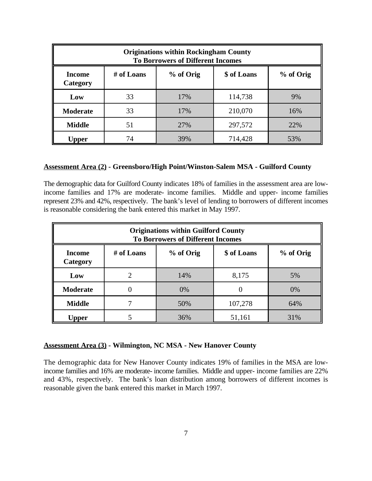| <b>Originations within Rockingham County</b><br><b>To Borrowers of Different Incomes</b> |    |     |         |     |  |  |
|------------------------------------------------------------------------------------------|----|-----|---------|-----|--|--|
| % of Orig<br>\$ of Loans<br>% of Orig<br># of Loans<br><b>Income</b><br>Category         |    |     |         |     |  |  |
| Low                                                                                      | 33 | 17% | 114,738 | 9%  |  |  |
| <b>Moderate</b>                                                                          | 33 | 17% | 210,070 | 16% |  |  |
| <b>Middle</b>                                                                            | 51 | 27% | 297,572 | 22% |  |  |
| <b>Upper</b>                                                                             | 74 | 39% | 714,428 | 53% |  |  |

#### **Assessment Area (2) - Greensboro/High Point/Winston-Salem MSA - Guilford County**

The demographic data for Guilford County indicates 18% of families in the assessment area are lowincome families and 17% are moderate- income families. Middle and upper- income families represent 23% and 42%, respectively. The bank's level of lending to borrowers of different incomes is reasonable considering the bank entered this market in May 1997.

| <b>Originations within Guilford County</b><br><b>To Borrowers of Different Incomes</b> |                             |     |         |     |  |  |  |
|----------------------------------------------------------------------------------------|-----------------------------|-----|---------|-----|--|--|--|
| % of Orig<br>\$ of Loans<br># of Loans<br>% of Orig<br><b>Income</b><br>Category       |                             |     |         |     |  |  |  |
| Low                                                                                    | $\mathcal{D}_{\mathcal{L}}$ | 14% | 8,175   | 5%  |  |  |  |
| Moderate                                                                               |                             | 0%  | 0       | 0%  |  |  |  |
| <b>Middle</b>                                                                          |                             | 50% | 107,278 | 64% |  |  |  |
| Upper                                                                                  |                             | 36% | 51,161  | 31% |  |  |  |

#### **Assessment Area (3) - Wilmington, NC MSA - New Hanover County**

The demographic data for New Hanover County indicates 19% of families in the MSA are lowincome families and 16% are moderate- income families. Middle and upper- income families are 22% and 43%, respectively. The bank's loan distribution among borrowers of different incomes is reasonable given the bank entered this market in March 1997.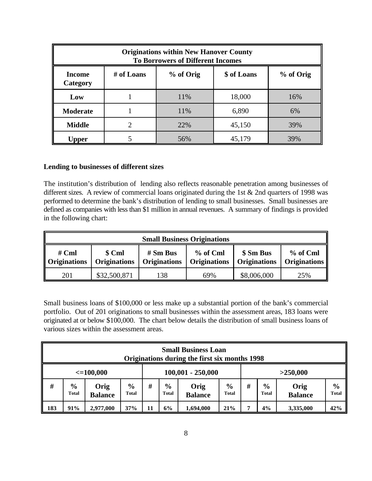| <b>Originations within New Hanover County</b><br><b>To Borrowers of Different Incomes</b> |   |     |        |     |  |  |
|-------------------------------------------------------------------------------------------|---|-----|--------|-----|--|--|
| % of Orig<br>\$ of Loans<br>% of Orig<br># of Loans<br><b>Income</b><br>Category          |   |     |        |     |  |  |
| Low                                                                                       |   | 11% | 18,000 | 16% |  |  |
| <b>Moderate</b>                                                                           |   | 11% | 6,890  | 6%  |  |  |
| <b>Middle</b>                                                                             | 2 | 22% | 45,150 | 39% |  |  |
| Upper                                                                                     |   | 56% | 45,179 | 39% |  |  |

#### **Lending to businesses of different sizes**

The institution's distribution of lending also reflects reasonable penetration among businesses of different sizes. A review of commercial loans originated during the 1st & 2nd quarters of 1998 was performed to determine the bank's distribution of lending to small businesses. Small businesses are defined as companies with less than \$1 million in annual revenues. A summary of findings is provided in the following chart:

| <b>Small Business Originations</b> |                               |                                   |                                 |                                  |                                 |  |
|------------------------------------|-------------------------------|-----------------------------------|---------------------------------|----------------------------------|---------------------------------|--|
| $#$ Cml<br><b>Originations</b>     | \$ Cml<br><b>Originations</b> | $# Sm$ Bus<br><b>Originations</b> | % of Cml<br><b>Originations</b> | \$ Sm Bus<br><b>Originations</b> | % of Cml<br><b>Originations</b> |  |
| 201                                | \$32,500,871                  | 138                               | 69%                             | \$8,006,000                      | 25%                             |  |

Small business loans of \$100,000 or less make up a substantial portion of the bank's commercial portfolio. Out of 201 originations to small businesses within the assessment areas, 183 loans were originated at or below \$100,000. The chart below details the distribution of small business loans of various sizes within the assessment areas.

|                                                    | <b>Small Business Loan</b><br>Originations during the first six months 1998 |                        |                        |                                                                                               |    |           |     |                               |                        |                               |     |
|----------------------------------------------------|-----------------------------------------------------------------------------|------------------------|------------------------|-----------------------------------------------------------------------------------------------|----|-----------|-----|-------------------------------|------------------------|-------------------------------|-----|
| $100,001 - 250,000$<br>$\leq$ =100,000<br>>250,000 |                                                                             |                        |                        |                                                                                               |    |           |     |                               |                        |                               |     |
| #                                                  | $\frac{6}{6}$<br><b>Total</b>                                               | Orig<br><b>Balance</b> | $\frac{0}{0}$<br>Total | #<br>$\frac{0}{0}$<br>$\frac{6}{9}$<br>Orig<br><b>Total</b><br><b>Total</b><br><b>Balance</b> |    |           | #   | $\frac{6}{9}$<br><b>Total</b> | Orig<br><b>Balance</b> | $\frac{6}{6}$<br><b>Total</b> |     |
| 183                                                | 91%                                                                         | 2,977,000              | 37%                    | 11                                                                                            | 6% | 1,694,000 | 21% |                               | 4%                     | 3,335,000                     | 42% |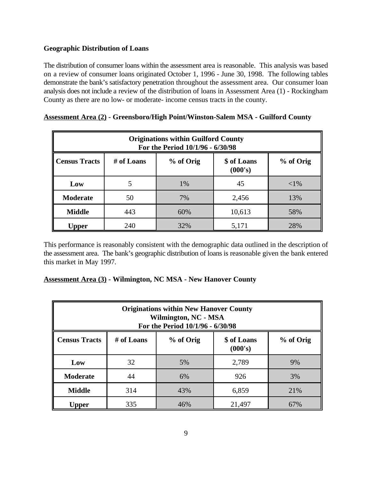# **Geographic Distribution of Loans**

The distribution of consumer loans within the assessment area is reasonable. This analysis was based on a review of consumer loans originated October 1, 1996 - June 30, 1998. The following tables demonstrate the bank's satisfactory penetration throughout the assessment area. Our consumer loan analysis does not include a review of the distribution of loans in Assessment Area (1) - Rockingham County as there are no low- or moderate- income census tracts in the county.

| <b>Originations within Guilford County</b><br>For the Period 10/1/96 - 6/30/98         |     |       |        |        |  |  |  |
|----------------------------------------------------------------------------------------|-----|-------|--------|--------|--|--|--|
| <b>Census Tracts</b><br>\$ of Loans<br>% of Orig<br># of Loans<br>% of Orig<br>(000's) |     |       |        |        |  |  |  |
| Low                                                                                    |     | $1\%$ | 45     | $<$ 1% |  |  |  |
| <b>Moderate</b>                                                                        | 50  | 7%    | 2,456  | 13%    |  |  |  |
| <b>Middle</b>                                                                          | 443 | 60%   | 10,613 | 58%    |  |  |  |
| Upper                                                                                  | 240 | 32%   | 5,171  | 28%    |  |  |  |

# **Assessment Area (2) - Greensboro/High Point/Winston-Salem MSA - Guilford County**

This performance is reasonably consistent with the demographic data outlined in the description of the assessment area. The bank's geographic distribution of loans is reasonable given the bank entered this market in May 1997.

# **Assessment Area (3) - Wilmington, NC MSA - New Hanover County**

| <b>Originations within New Hanover County</b><br>Wilmington, NC - MSA<br>For the Period 10/1/96 - 6/30/98 |     |     |        |     |  |  |  |
|-----------------------------------------------------------------------------------------------------------|-----|-----|--------|-----|--|--|--|
| <b>Census Tracts</b><br># of Loans<br>% of Orig<br>\$ of Loans<br>% of Orig<br>(000's)                    |     |     |        |     |  |  |  |
| Low                                                                                                       | 32  | 5%  | 2,789  | 9%  |  |  |  |
| <b>Moderate</b>                                                                                           | 44  | 6%  | 926    | 3%  |  |  |  |
| <b>Middle</b>                                                                                             | 314 | 43% | 6,859  | 21% |  |  |  |
| Upper                                                                                                     | 335 | 46% | 21,497 | 67% |  |  |  |